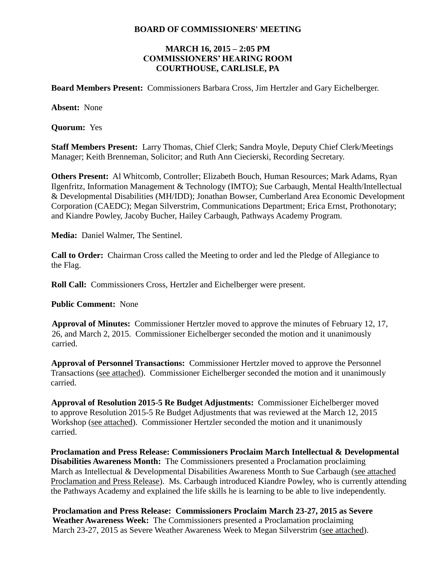#### **BOARD OF COMMISSIONERS' MEETING**

### **MARCH 16, 2015 – 2:05 PM COMMISSIONERS' HEARING ROOM COURTHOUSE, CARLISLE, PA**

**Board Members Present:** Commissioners Barbara Cross, Jim Hertzler and Gary Eichelberger.

**Absent:** None

**Quorum:** Yes

**Staff Members Present:** Larry Thomas, Chief Clerk; Sandra Moyle, Deputy Chief Clerk/Meetings Manager; Keith Brenneman, Solicitor; and Ruth Ann Ciecierski, Recording Secretary.

**Others Present:** Al Whitcomb, Controller; Elizabeth Bouch, Human Resources; Mark Adams, Ryan Ilgenfritz, Information Management & Technology (IMTO); Sue Carbaugh, Mental Health/Intellectual & Developmental Disabilities (MH/IDD); Jonathan Bowser, Cumberland Area Economic Development Corporation (CAEDC); Megan Silverstrim, Communications Department; Erica Ernst, Prothonotary; and Kiandre Powley, Jacoby Bucher, Hailey Carbaugh, Pathways Academy Program.

**Media:** Daniel Walmer, The Sentinel.

**Call to Order:** Chairman Cross called the Meeting to order and led the Pledge of Allegiance to the Flag.

**Roll Call:** Commissioners Cross, Hertzler and Eichelberger were present.

**Public Comment:** None

**Approval of Minutes:** Commissioner Hertzler moved to approve the minutes of February 12, 17, 26, and March 2, 2015. Commissioner Eichelberger seconded the motion and it unanimously carried.

**Approval of Personnel Transactions:** Commissioner Hertzler moved to approve the Personnel Transactions (see attached). Commissioner Eichelberger seconded the motion and it unanimously carried.

**Approval of Resolution 2015-5 Re Budget Adjustments:** Commissioner Eichelberger moved to approve Resolution 2015-5 Re Budget Adjustments that was reviewed at the March 12, 2015 Workshop (see attached). Commissioner Hertzler seconded the motion and it unanimously carried.

**Proclamation and Press Release: Commissioners Proclaim March Intellectual & Developmental Disabilities Awareness Month:** The Commissioners presented a Proclamation proclaiming March as Intellectual & Developmental Disabilities Awareness Month to Sue Carbaugh (see attached Proclamation and Press Release). Ms. Carbaugh introduced Kiandre Powley, who is currently attending the Pathways Academy and explained the life skills he is learning to be able to live independently.

**Proclamation and Press Release: Commissioners Proclaim March 23-27, 2015 as Severe Weather Awareness Week:** The Commissioners presented a Proclamation proclaiming March 23-27, 2015 as Severe Weather Awareness Week to Megan Silverstrim (see attached).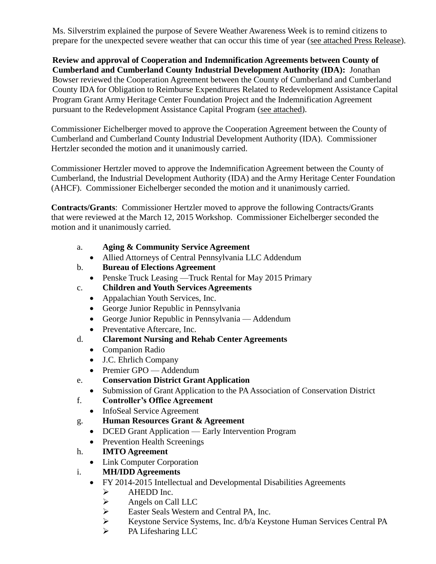Ms. Silverstrim explained the purpose of Severe Weather Awareness Week is to remind citizens to prepare for the unexpected severe weather that can occur this time of year (see attached Press Release).

**Review and approval of Cooperation and Indemnification Agreements between County of Cumberland and Cumberland County Industrial Development Authority (IDA):** Jonathan Bowser reviewed the Cooperation Agreement between the County of Cumberland and Cumberland County IDA for Obligation to Reimburse Expenditures Related to Redevelopment Assistance Capital Program Grant Army Heritage Center Foundation Project and the Indemnification Agreement pursuant to the Redevelopment Assistance Capital Program (see attached).

Commissioner Eichelberger moved to approve the Cooperation Agreement between the County of Cumberland and Cumberland County Industrial Development Authority (IDA). Commissioner Hertzler seconded the motion and it unanimously carried.

Commissioner Hertzler moved to approve the Indemnification Agreement between the County of Cumberland, the Industrial Development Authority (IDA) and the Army Heritage Center Foundation (AHCF). Commissioner Eichelberger seconded the motion and it unanimously carried.

**Contracts/Grants**: Commissioner Hertzler moved to approve the following Contracts/Grants that were reviewed at the March 12, 2015 Workshop. Commissioner Eichelberger seconded the motion and it unanimously carried.

- a. **Aging & Community Service Agreement**
	- Allied Attorneys of Central Pennsylvania LLC Addendum
- b. **Bureau of Elections Agreement**
	- Penske Truck Leasing Truck Rental for May 2015 Primary
- c. **Children and Youth Services Agreements**
	- Appalachian Youth Services, Inc.
	- George Junior Republic in Pennsylvania
	- George Junior Republic in Pennsylvania Addendum
	- Preventative Aftercare, Inc.
- d. **Claremont Nursing and Rehab Center Agreements**
	- Companion Radio
	- J.C. Ehrlich Company
	- Premier GPO Addendum
- e. **Conservation District Grant Application**
	- Submission of Grant Application to the PA Association of Conservation District
- f. **Controller's Office Agreement**
	- InfoSeal Service Agreement
- g. **Human Resources Grant & Agreement**
	- DCED Grant Application Early Intervention Program
	- Prevention Health Screenings
- h. **IMTO Agreement**
	- Link Computer Corporation
- i. **MH/IDD Agreements**
	- FY 2014-2015 Intellectual and Developmental Disabilities Agreements
		-
		- $\triangleright$  AHEDD Inc.<br> $\triangleright$  Angels on Ca
		- Angels on Call LLC<br>
		> Easter Seals Western Easter Seals Western and Central PA, Inc.<br>
		Experience Systems, Inc.  $d/b/a$  Keystems
		- Keystone Service Systems, Inc. d/b/a Keystone Human Services Central PA
		- > PA Lifesharing LLC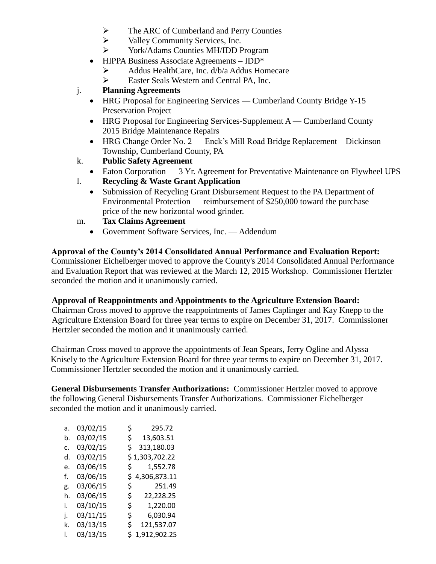- $\triangleright$  The ARC of Cumberland and Perry Counties
- $\triangleright$  Valley Community Services, Inc.
- York/Adams Counties MH/IDD Program
- HIPPA Business Associate Agreements IDD\*
	- Addus HealthCare, Inc. d/b/a Addus Homecare
	- Easter Seals Western and Central PA, Inc.

# j. **Planning Agreements**

- HRG Proposal for Engineering Services Cumberland County Bridge Y-15 Preservation Project
- $\bullet$  HRG Proposal for Engineering Services-Supplement A Cumberland County 2015 Bridge Maintenance Repairs
- HRG Change Order No. 2 Enck's Mill Road Bridge Replacement Dickinson Township, Cumberland County, PA
- k. **Public Safety Agreement**
	- Eaton Corporation 3 Yr. Agreement for Preventative Maintenance on Flywheel UPS
- l. **Recycling & Waste Grant Application**
	- Submission of Recycling Grant Disbursement Request to the PA Department of Environmental Protection — reimbursement of \$250,000 toward the purchase price of the new horizontal wood grinder.
- m. **Tax Claims Agreement**
	- Government Software Services, Inc. Addendum

# **Approval of the County's 2014 Consolidated Annual Performance and Evaluation Report:**

Commissioner Eichelberger moved to approve the County's 2014 Consolidated Annual Performance and Evaluation Report that was reviewed at the March 12, 2015 Workshop. Commissioner Hertzler seconded the motion and it unanimously carried.

### **Approval of Reappointments and Appointments to the Agriculture Extension Board:**

Chairman Cross moved to approve the reappointments of James Caplinger and Kay Knepp to the Agriculture Extension Board for three year terms to expire on December 31, 2017. Commissioner Hertzler seconded the motion and it unanimously carried.

Chairman Cross moved to approve the appointments of Jean Spears, Jerry Ogline and Alyssa Knisely to the Agriculture Extension Board for three year terms to expire on December 31, 2017. Commissioner Hertzler seconded the motion and it unanimously carried.

**General Disbursements Transfer Authorizations:** Commissioner Hertzler moved to approve the following General Disbursements Transfer Authorizations. Commissioner Eichelberger seconded the motion and it unanimously carried.

| a. | 03/02/15 | \$. | 295.72         |
|----|----------|-----|----------------|
| b. | 03/02/15 | \$  | 13,603.51      |
| c. | 03/02/15 | \$  | 313,180.03     |
| d. | 03/02/15 |     | \$1,303,702.22 |
| e. | 03/06/15 | \$. | 1,552.78       |
| f. | 03/06/15 | \$  | 4,306,873.11   |
| g. | 03/06/15 | \$  | 251.49         |
| h. | 03/06/15 | \$. | 22,228.25      |
| i. | 03/10/15 | \$  | 1,220.00       |
| i. | 03/11/15 | \$  | 6,030.94       |
| k. | 03/13/15 | \$  | 121,537.07     |
| L  | 03/13/15 | Ś   | 1,912,902.25   |
|    |          |     |                |